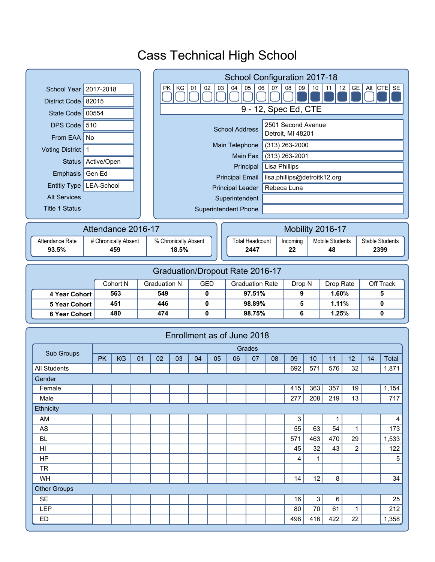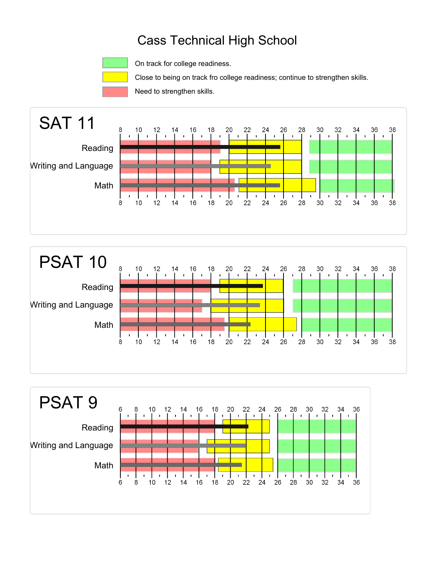

On track for college readiness.

Close to being on track fro college readiness; continue to strengthen skills.

Need to strengthen skills.





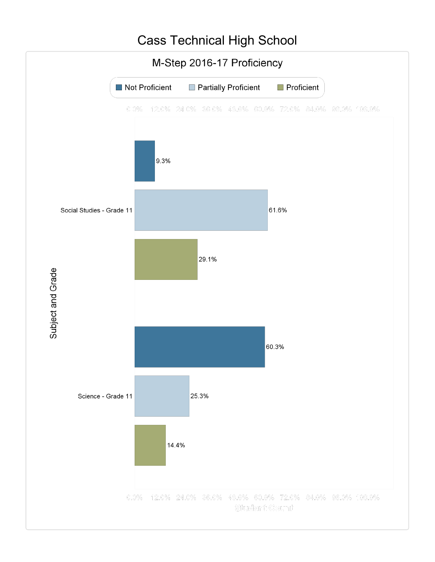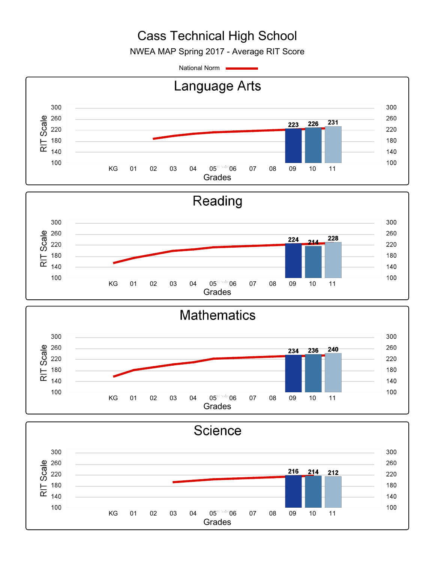NWEA MAP Spring 2017 - Average RIT Score

National Norm